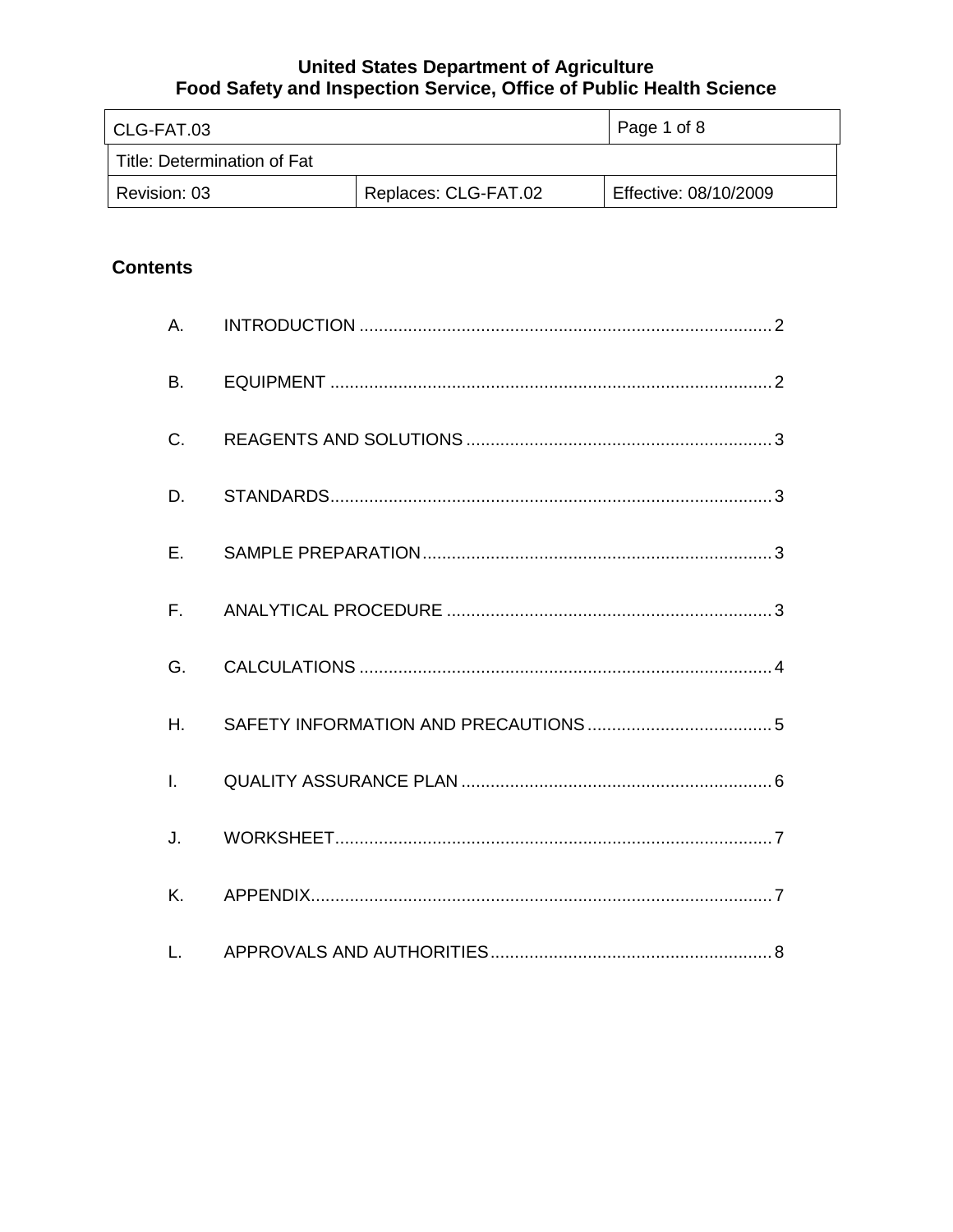| l CLG-FAT.03                |                      | Page 1 of 8           |
|-----------------------------|----------------------|-----------------------|
| Title: Determination of Fat |                      |                       |
| Revision: 03                | Replaces: CLG-FAT.02 | Effective: 08/10/2009 |

# **Contents**

| A.           |  |
|--------------|--|
| B.           |  |
| C.           |  |
| D.           |  |
| E.           |  |
| $F_{\rm{H}}$ |  |
| G.           |  |
| H.           |  |
| $\mathbf{L}$ |  |
| J.           |  |
| Κ.           |  |
| L.           |  |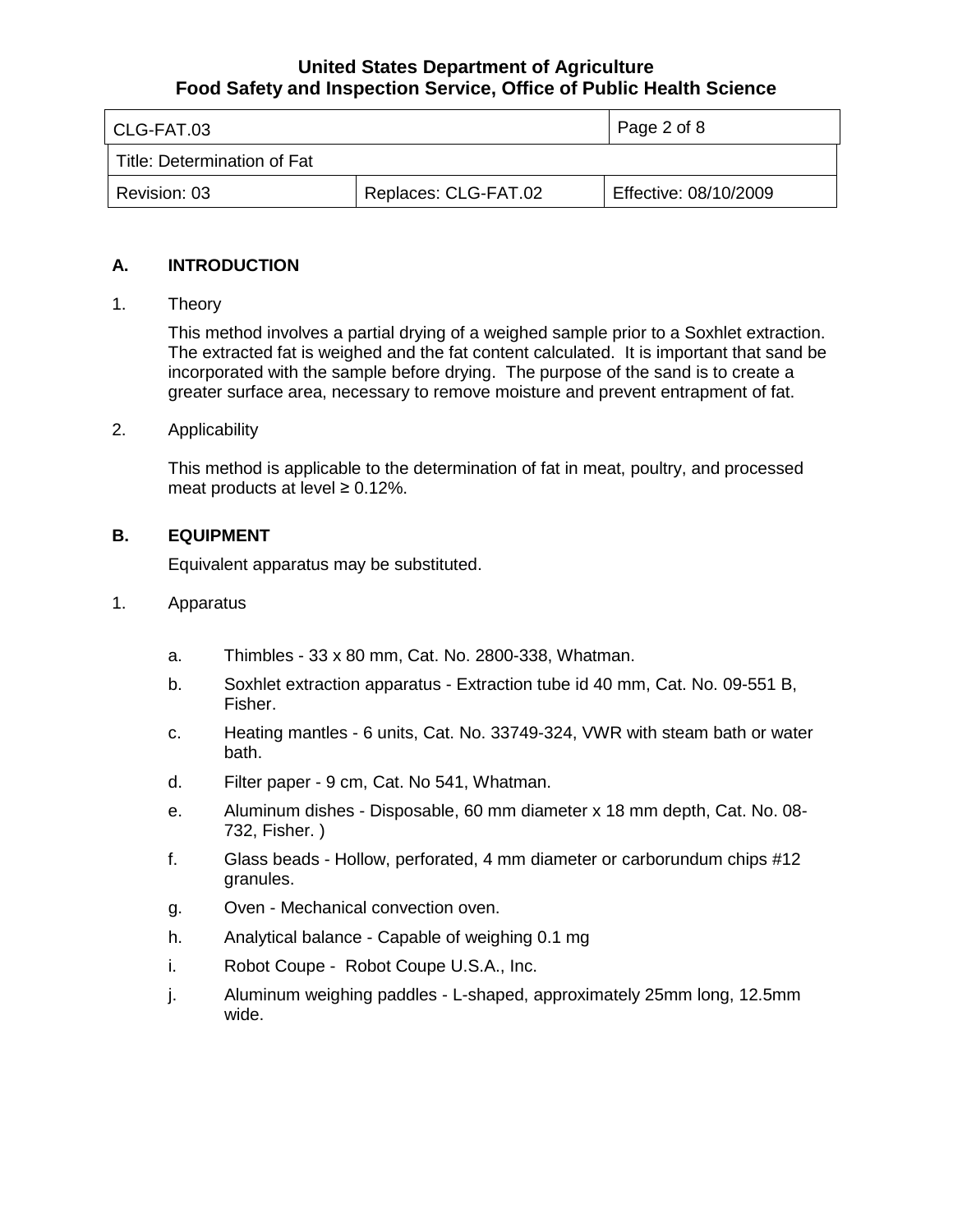| l CLG-FAT.03                |                      | Page 2 of 8           |
|-----------------------------|----------------------|-----------------------|
| Title: Determination of Fat |                      |                       |
| Revision: 03                | Replaces: CLG-FAT.02 | Effective: 08/10/2009 |

## **A. INTRODUCTION**

## 1. Theory

This method involves a partial drying of a weighed sample prior to a Soxhlet extraction. The extracted fat is weighed and the fat content calculated. It is important that sand be incorporated with the sample before drying. The purpose of the sand is to create a greater surface area, necessary to remove moisture and prevent entrapment of fat.

#### 2. Applicability

This method is applicable to the determination of fat in meat, poultry, and processed meat products at level  $\geq 0.12\%$ .

## **B. EQUIPMENT**

Equivalent apparatus may be substituted.

- 1. Apparatus
	- a. Thimbles 33 x 80 mm, Cat. No. 2800-338, Whatman.
	- b. Soxhlet extraction apparatus Extraction tube id 40 mm, Cat. No. 09-551 B, Fisher.
	- c. Heating mantles 6 units, Cat. No. 33749-324, VWR with steam bath or water bath.
	- d. Filter paper 9 cm, Cat. No 541, Whatman.
	- e. Aluminum dishes Disposable, 60 mm diameter x 18 mm depth, Cat. No. 08- 732, Fisher. )
	- f. Glass beads Hollow, perforated, 4 mm diameter or carborundum chips #12 granules.
	- g. Oven Mechanical convection oven.
	- h. Analytical balance Capable of weighing 0.1 mg
	- i. Robot Coupe Robot Coupe U.S.A., Inc.
	- j. Aluminum weighing paddles L-shaped, approximately 25mm long, 12.5mm wide.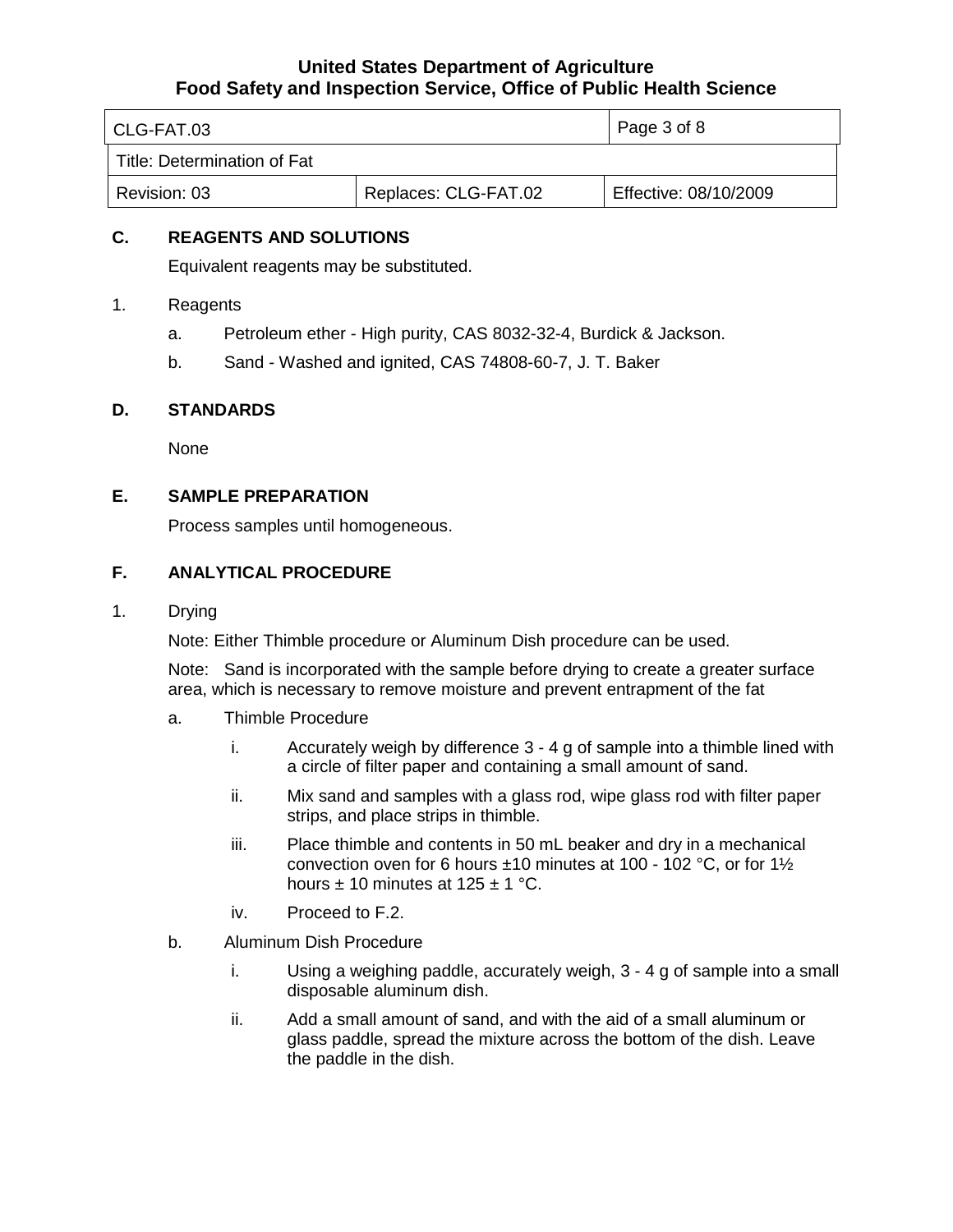| CLG-FAT.03                  |                      | Page 3 of 8           |
|-----------------------------|----------------------|-----------------------|
| Title: Determination of Fat |                      |                       |
| Revision: 03                | Replaces: CLG-FAT.02 | Effective: 08/10/2009 |

## **C. REAGENTS AND SOLUTIONS**

Equivalent reagents may be substituted.

- 1. Reagents
	- a. Petroleum ether High purity, CAS 8032-32-4, Burdick & Jackson.
	- b. Sand Washed and ignited, CAS 74808-60-7, J. T. Baker

#### **D. STANDARDS**

None

## **E. SAMPLE PREPARATION**

Process samples until homogeneous.

## **F. ANALYTICAL PROCEDURE**

1. Drying

Note: Either Thimble procedure or Aluminum Dish procedure can be used.

Note: Sand is incorporated with the sample before drying to create a greater surface area, which is necessary to remove moisture and prevent entrapment of the fat

- a. Thimble Procedure
	- i. Accurately weigh by difference 3 4 g of sample into a thimble lined with a circle of filter paper and containing a small amount of sand.
	- ii. Mix sand and samples with a glass rod, wipe glass rod with filter paper strips, and place strips in thimble.
	- iii. Place thimble and contents in 50 mL beaker and dry in a mechanical convection oven for 6 hours ±10 minutes at 100 - 102 °C, or for 1½ hours  $\pm$  10 minutes at 125  $\pm$  1 °C.
	- iv. Proceed to F.2.
- b. Aluminum Dish Procedure
	- i. Using a weighing paddle, accurately weigh, 3 4 g of sample into a small disposable aluminum dish.
	- ii. Add a small amount of sand, and with the aid of a small aluminum or glass paddle, spread the mixture across the bottom of the dish. Leave the paddle in the dish.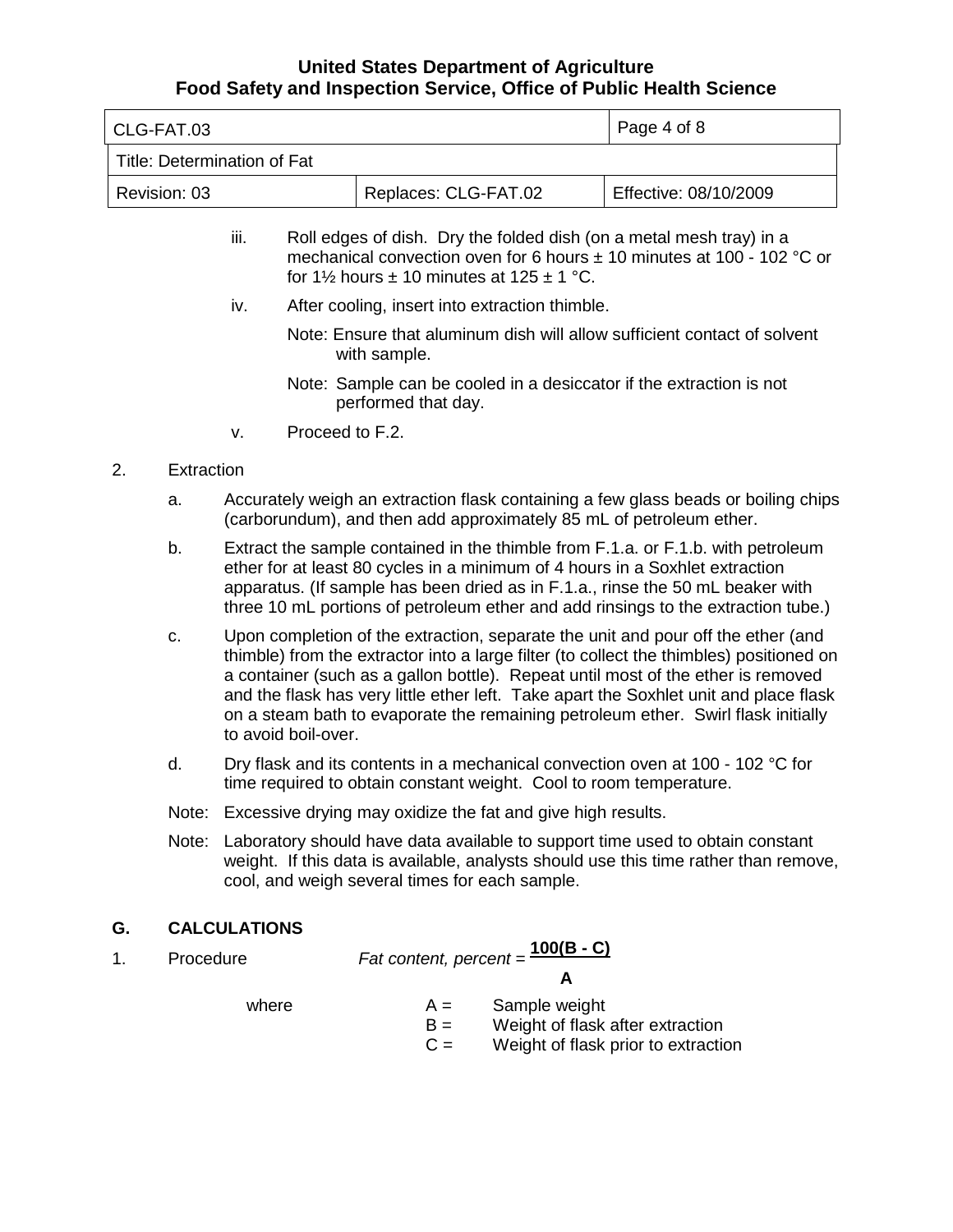|    | CLG-FAT.03                  |                                                                                                                                                      |                                                                                                                                                                                                                                                                                                                                                                                                                                                                      |                        |                         |                                                             | Page 4 of 8                                                                                                                                                           |
|----|-----------------------------|------------------------------------------------------------------------------------------------------------------------------------------------------|----------------------------------------------------------------------------------------------------------------------------------------------------------------------------------------------------------------------------------------------------------------------------------------------------------------------------------------------------------------------------------------------------------------------------------------------------------------------|------------------------|-------------------------|-------------------------------------------------------------|-----------------------------------------------------------------------------------------------------------------------------------------------------------------------|
|    | Title: Determination of Fat |                                                                                                                                                      |                                                                                                                                                                                                                                                                                                                                                                                                                                                                      |                        |                         |                                                             |                                                                                                                                                                       |
|    | Revision: 03                |                                                                                                                                                      |                                                                                                                                                                                                                                                                                                                                                                                                                                                                      |                        |                         | Replaces: CLG-FAT.02                                        | Effective: 08/10/2009                                                                                                                                                 |
|    |                             | iii.                                                                                                                                                 |                                                                                                                                                                                                                                                                                                                                                                                                                                                                      |                        |                         | for $1\frac{1}{2}$ hours ± 10 minutes at $125 \pm 1$ °C.    | Roll edges of dish. Dry the folded dish (on a metal mesh tray) in a<br>mechanical convection oven for 6 hours $\pm$ 10 minutes at 100 - 102 °C or                     |
|    |                             | iv.                                                                                                                                                  |                                                                                                                                                                                                                                                                                                                                                                                                                                                                      |                        |                         | After cooling, insert into extraction thimble.              |                                                                                                                                                                       |
|    |                             |                                                                                                                                                      |                                                                                                                                                                                                                                                                                                                                                                                                                                                                      | with sample.           |                         |                                                             | Note: Ensure that aluminum dish will allow sufficient contact of solvent                                                                                              |
|    |                             |                                                                                                                                                      |                                                                                                                                                                                                                                                                                                                                                                                                                                                                      | performed that day.    |                         |                                                             | Note: Sample can be cooled in a desiccator if the extraction is not                                                                                                   |
|    |                             | v.                                                                                                                                                   | Proceed to F.2.                                                                                                                                                                                                                                                                                                                                                                                                                                                      |                        |                         |                                                             |                                                                                                                                                                       |
| 2. | Extraction                  |                                                                                                                                                      |                                                                                                                                                                                                                                                                                                                                                                                                                                                                      |                        |                         |                                                             |                                                                                                                                                                       |
|    | a.                          |                                                                                                                                                      |                                                                                                                                                                                                                                                                                                                                                                                                                                                                      |                        |                         |                                                             | Accurately weigh an extraction flask containing a few glass beads or boiling chips<br>(carborundum), and then add approximately 85 mL of petroleum ether.             |
|    | b.                          |                                                                                                                                                      | Extract the sample contained in the thimble from F.1.a. or F.1.b. with petroleum<br>ether for at least 80 cycles in a minimum of 4 hours in a Soxhlet extraction<br>apparatus. (If sample has been dried as in F.1.a., rinse the 50 mL beaker with<br>three 10 mL portions of petroleum ether and add rinsings to the extraction tube.)                                                                                                                              |                        |                         |                                                             |                                                                                                                                                                       |
|    | c.                          |                                                                                                                                                      | Upon completion of the extraction, separate the unit and pour off the ether (and<br>thimble) from the extractor into a large filter (to collect the thimbles) positioned on<br>a container (such as a gallon bottle). Repeat until most of the ether is removed<br>and the flask has very little ether left. Take apart the Soxhlet unit and place flask<br>on a steam bath to evaporate the remaining petroleum ether. Swirl flask initially<br>to avoid boil-over. |                        |                         |                                                             |                                                                                                                                                                       |
|    | d.                          | Dry flask and its contents in a mechanical convection oven at 100 - 102 °C for<br>time required to obtain constant weight. Cool to room temperature. |                                                                                                                                                                                                                                                                                                                                                                                                                                                                      |                        |                         |                                                             |                                                                                                                                                                       |
|    | Note:                       |                                                                                                                                                      |                                                                                                                                                                                                                                                                                                                                                                                                                                                                      |                        |                         | Excessive drying may oxidize the fat and give high results. |                                                                                                                                                                       |
|    | Note:                       |                                                                                                                                                      |                                                                                                                                                                                                                                                                                                                                                                                                                                                                      |                        |                         | cool, and weigh several times for each sample.              | Laboratory should have data available to support time used to obtain constant<br>weight. If this data is available, analysts should use this time rather than remove, |
| G. |                             | <b>CALCULATIONS</b>                                                                                                                                  |                                                                                                                                                                                                                                                                                                                                                                                                                                                                      |                        |                         |                                                             |                                                                                                                                                                       |
| 1. | Procedure                   |                                                                                                                                                      |                                                                                                                                                                                                                                                                                                                                                                                                                                                                      | Fat content, percent = |                         | <u>100(B - C)</u>                                           |                                                                                                                                                                       |
|    |                             | where                                                                                                                                                |                                                                                                                                                                                                                                                                                                                                                                                                                                                                      |                        | $A =$<br>$B =$<br>$C =$ | A<br>Sample weight                                          | Weight of flask after extraction<br>Weight of flask prior to extraction                                                                                               |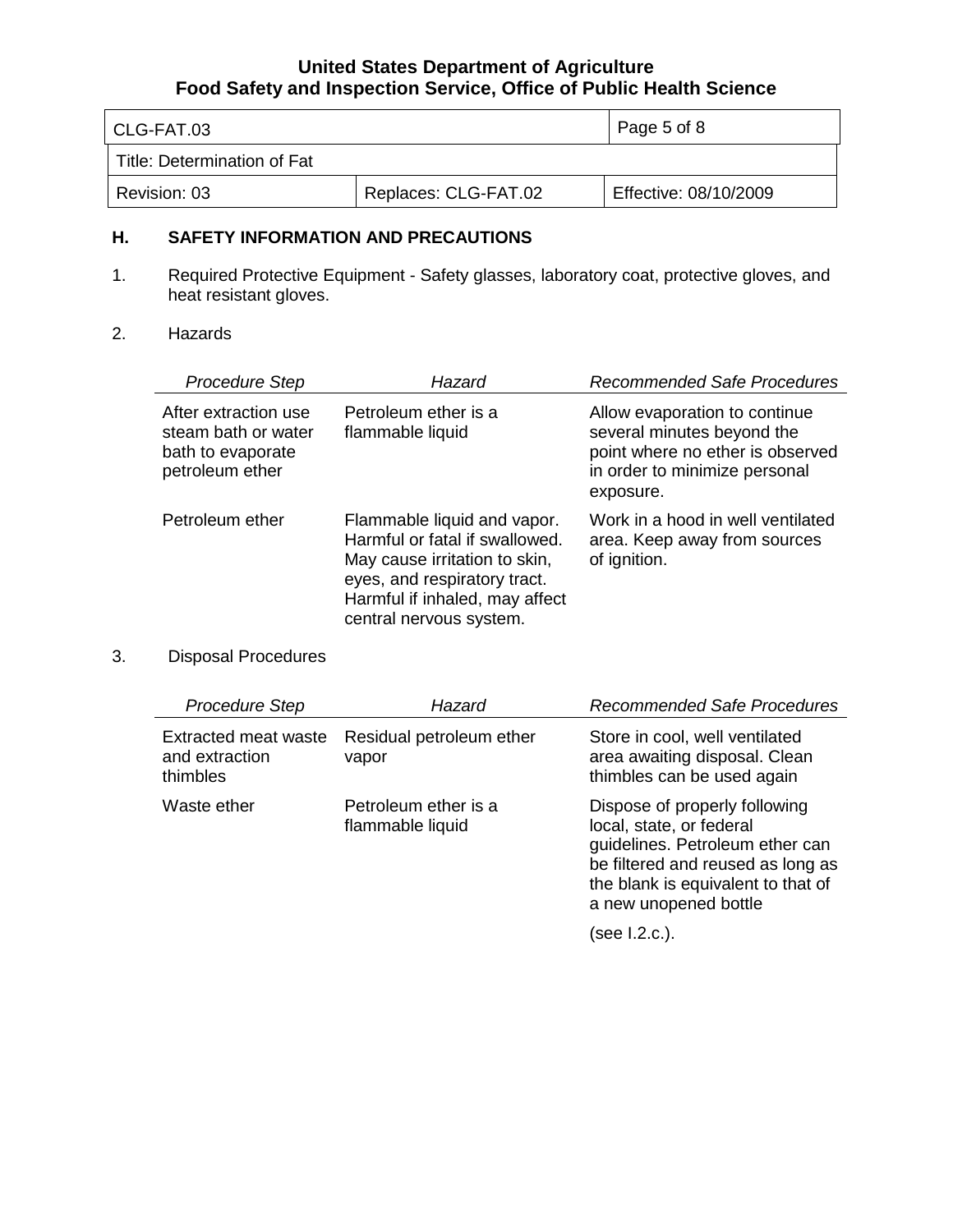| CLG-FAT.03                  |                      | Page 5 of 8           |
|-----------------------------|----------------------|-----------------------|
| Title: Determination of Fat |                      |                       |
| Revision: 03                | Replaces: CLG-FAT.02 | Effective: 08/10/2009 |

#### **H. SAFETY INFORMATION AND PRECAUTIONS**

- 1. Required Protective Equipment Safety glasses, laboratory coat, protective gloves, and heat resistant gloves.
- 2. Hazards

| <b>Procedure Step</b>                                                               | Hazard                                                                                                                                                                                      | <b>Recommended Safe Procedures</b>                                                                                                            |
|-------------------------------------------------------------------------------------|---------------------------------------------------------------------------------------------------------------------------------------------------------------------------------------------|-----------------------------------------------------------------------------------------------------------------------------------------------|
| After extraction use<br>steam bath or water<br>bath to evaporate<br>petroleum ether | Petroleum ether is a<br>flammable liquid                                                                                                                                                    | Allow evaporation to continue<br>several minutes beyond the<br>point where no ether is observed<br>in order to minimize personal<br>exposure. |
| Petroleum ether                                                                     | Flammable liquid and vapor.<br>Harmful or fatal if swallowed.<br>May cause irritation to skin,<br>eyes, and respiratory tract.<br>Harmful if inhaled, may affect<br>central nervous system. | Work in a hood in well ventilated<br>area. Keep away from sources<br>of ignition.                                                             |

## 3. Disposal Procedures

| <b>Procedure Step</b>                                     | Hazard                                   | <b>Recommended Safe Procedures</b>                                                                                                                                                               |
|-----------------------------------------------------------|------------------------------------------|--------------------------------------------------------------------------------------------------------------------------------------------------------------------------------------------------|
| <b>Extracted meat waste</b><br>and extraction<br>thimbles | Residual petroleum ether<br>vapor        | Store in cool, well ventilated<br>area awaiting disposal. Clean<br>thimbles can be used again                                                                                                    |
| Waste ether                                               | Petroleum ether is a<br>flammable liquid | Dispose of properly following<br>local, state, or federal<br>guidelines. Petroleum ether can<br>be filtered and reused as long as<br>the blank is equivalent to that of<br>a new unopened bottle |

(see I.2.c.).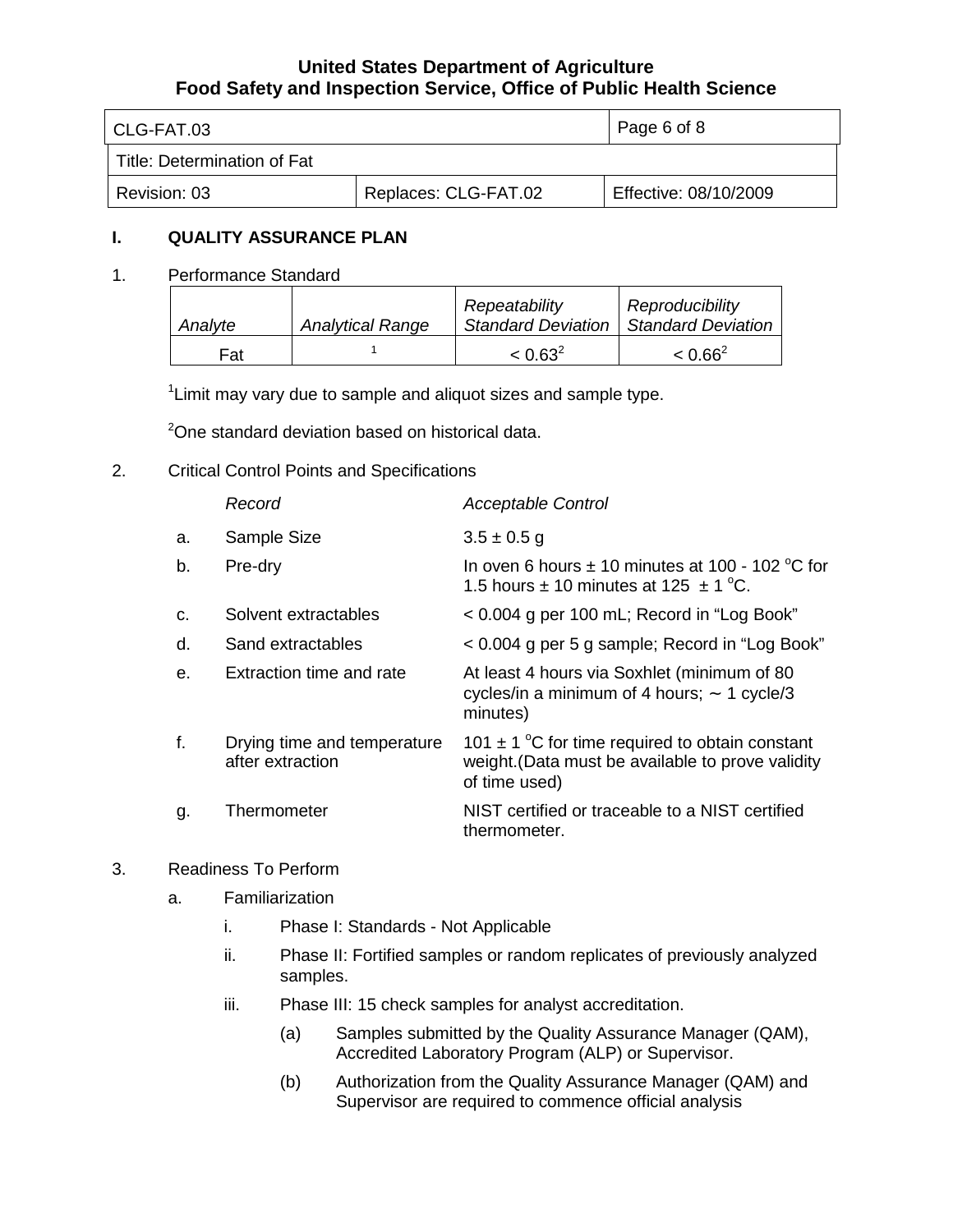| l CLG-FAT.03                |                      | Page 6 of 8           |
|-----------------------------|----------------------|-----------------------|
| Title: Determination of Fat |                      |                       |
| Revision: 03                | Replaces: CLG-FAT.02 | Effective: 08/10/2009 |

## **I. QUALITY ASSURANCE PLAN**

1. Performance Standard

| Analyte | <b>Analytical Range</b> | Repeatability<br><b>Standard Deviation</b> | Reproducibility<br>Standard Deviation |
|---------|-------------------------|--------------------------------------------|---------------------------------------|
| Fat     |                         | $< 0.63^2$                                 | $< 0.66^2$                            |

<sup>1</sup> Limit may vary due to sample and aliquot sizes and sample type.

<sup>2</sup>One standard deviation based on historical data.

2. Critical Control Points and Specifications

|    | Record                                          | <b>Acceptable Control</b>                                                                                                 |
|----|-------------------------------------------------|---------------------------------------------------------------------------------------------------------------------------|
| a. | Sample Size                                     | $3.5 \pm 0.5$ g                                                                                                           |
| b. | Pre-dry                                         | In oven 6 hours $\pm$ 10 minutes at 100 - 102 °C for<br>1.5 hours $\pm$ 10 minutes at 125 $\pm$ 1 °C.                     |
| C. | Solvent extractables                            | < 0.004 g per 100 mL; Record in "Log Book"                                                                                |
| d. | Sand extractables                               | < 0.004 g per 5 g sample; Record in "Log Book"                                                                            |
| е. | Extraction time and rate                        | At least 4 hours via Soxhlet (minimum of 80<br>cycles/in a minimum of 4 hours; $\sim$ 1 cycle/3<br>minutes)               |
| f. | Drying time and temperature<br>after extraction | 101 $\pm$ 1 °C for time required to obtain constant<br>weight. (Data must be available to prove validity<br>of time used) |
| g. | Thermometer                                     | NIST certified or traceable to a NIST certified<br>thermometer.                                                           |

## 3. Readiness To Perform

- a. Familiarization
	- i. Phase I: Standards Not Applicable
	- ii. Phase II: Fortified samples or random replicates of previously analyzed samples.
	- iii. Phase III: 15 check samples for analyst accreditation.
		- (a) Samples submitted by the Quality Assurance Manager (QAM), Accredited Laboratory Program (ALP) or Supervisor.
		- (b) Authorization from the Quality Assurance Manager (QAM) and Supervisor are required to commence official analysis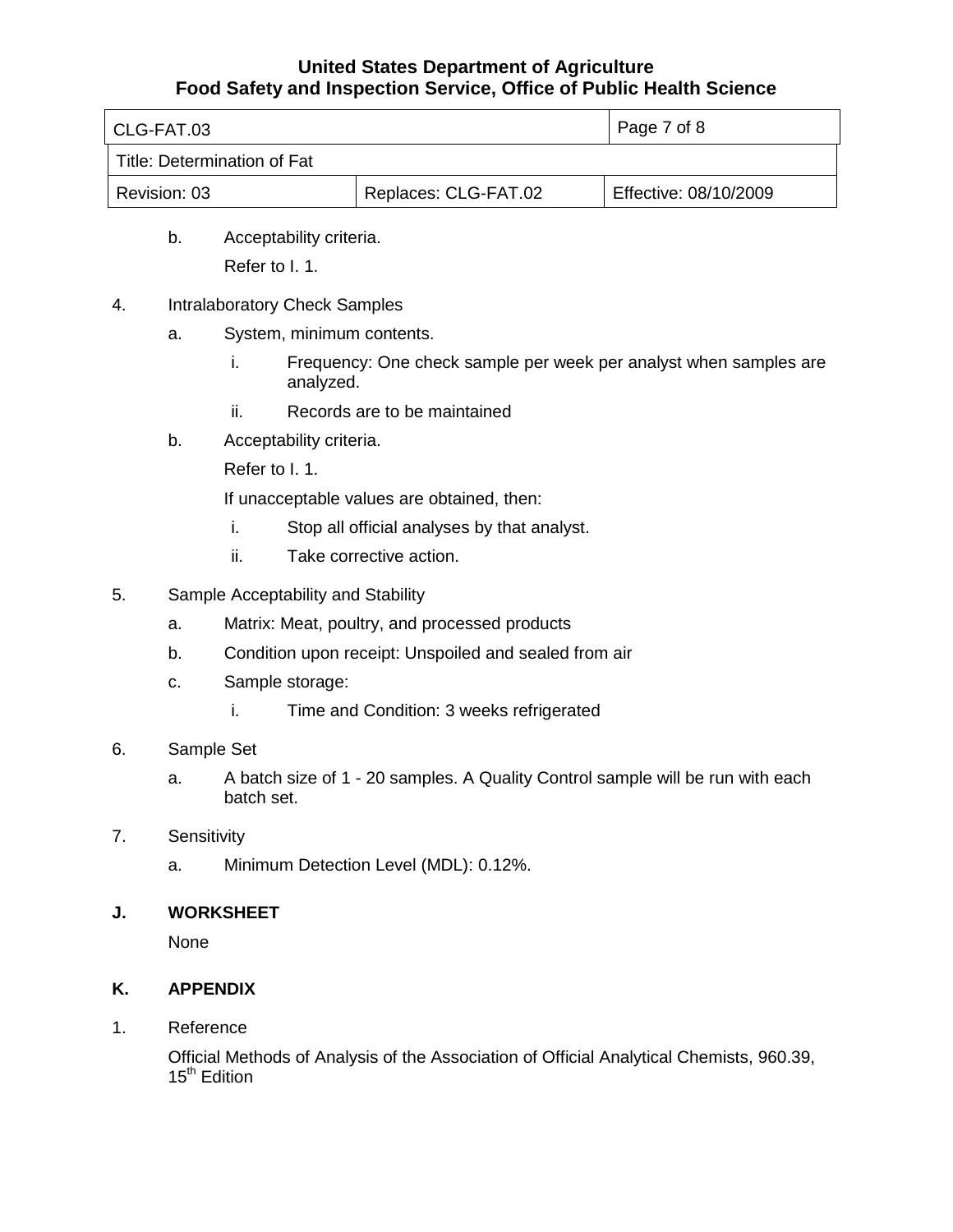| l CLG-FAT.03                |                      | Page 7 of 8           |
|-----------------------------|----------------------|-----------------------|
| Title: Determination of Fat |                      |                       |
| Revision: 03                | Replaces: CLG-FAT.02 | Effective: 08/10/2009 |

- b. Acceptability criteria. Refer to I. 1.
- 4. Intralaboratory Check Samples
	- a. System, minimum contents.
		- i. Frequency: One check sample per week per analyst when samples are analyzed.
		- ii. Records are to be maintained
	- b. Acceptability criteria.
		- Refer to I. 1.

If unacceptable values are obtained, then:

- i. Stop all official analyses by that analyst.
- ii. Take corrective action.
- 5. Sample Acceptability and Stability
	- a. Matrix: Meat, poultry, and processed products
	- b. Condition upon receipt: Unspoiled and sealed from air
	- c. Sample storage:
		- i. Time and Condition: 3 weeks refrigerated
- 6. Sample Set
	- a. A batch size of 1 20 samples. A Quality Control sample will be run with each batch set.
- 7. Sensitivity
	- a. Minimum Detection Level (MDL): 0.12%.

#### **J. WORKSHEET**

None

## **K. APPENDIX**

1. Reference

Official Methods of Analysis of the Association of Official Analytical Chemists, 960.39, 15<sup>th</sup> Edition